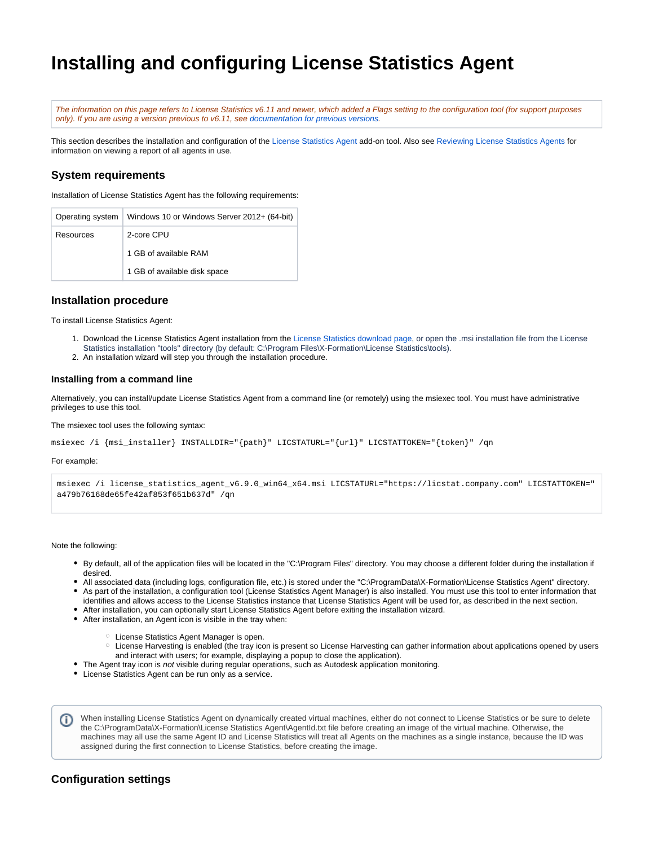# **Installing and configuring License Statistics Agent**

The information on this page refers to License Statistics v6.11 and newer, which added a Flags setting to the configuration tool (for support purposes only). If you are using a version previous to v6.11, see [documentation for previous versions](https://docs.x-formation.com/pages/viewpage.action?pageId=89981215).

This section describes the installation and configuration of the [License Statistics Agent](https://docs.x-formation.com/display/LICSTAT/License+Statistics+Agent) add-on tool. Also see [Reviewing License Statistics Agents](https://docs.x-formation.com/display/LICSTAT/Reviewing+License+Statistics+Agents) for information on viewing a report of all agents in use.

### **System requirements**

Installation of License Statistics Agent has the following requirements:

| Operating system | Windows 10 or Windows Server 2012+ (64-bit) |
|------------------|---------------------------------------------|
| Resources        | 2-core CPU                                  |
|                  | 1 GB of available RAM                       |
|                  | 1 GB of available disk space                |

### **Installation procedure**

To install License Statistics Agent:

- 1. Download the License Statistics Agent installation from the [License Statistics download page,](http://www.x-formation.com/license_statistics/download.html) or open the .msi installation file from the License Statistics installation "tools" directory (by default: C:\Program Files\X-Formation\License Statistics\tools).
- 2. An installation wizard will step you through the installation procedure.

#### **Installing from a command line**

Alternatively, you can install/update License Statistics Agent from a command line (or remotely) using the msiexec tool. You must have administrative privileges to use this tool.

The msiexec tool uses the following syntax:

```
msiexec /i {msi_installer} INSTALLDIR="{path}" LICSTATURL="{url}" LICSTATTOKEN="{token}" /qn
```
For example:

```
msiexec /i license_statistics_agent_v6.9.0_win64_x64.msi LICSTATURL="https://licstat.company.com" LICSTATTOKEN="
a479b76168de65fe42af853f651b637d" /qn
```
Note the following:

- By default, all of the application files will be located in the "C:\Program Files" directory. You may choose a different folder during the installation if desired.
- All associated data (including logs, configuration file, etc.) is stored under the "C:\ProgramData\X-Formation\License Statistics Agent" directory. As part of the installation, a configuration tool (License Statistics Agent Manager) is also installed. You must use this tool to enter information that
- identifies and allows access to the License Statistics instance that License Statistics Agent will be used for, as described in the next section.
- After installation, you can optionally start License Statistics Agent before exiting the installation wizard.
- After installation, an Agent icon is visible in the tray when:
	- License Statistics Agent Manager is open.
	- License Harvesting is enabled (the tray icon is present so License Harvesting can gather information about applications opened by users and interact with users; for example, displaying a popup to close the application).
- The Agent tray icon is not visible during regular operations, such as Autodesk application monitoring.
- License Statistics Agent can be run only as a service.

When installing License Statistics Agent on dynamically created virtual machines, either do not connect to License Statistics or be sure to delete (i) the C:\ProgramData\X-Formation\License Statistics Agent\AgentId.txt file before creating an image of the virtual machine. Otherwise, the machines may all use the same Agent ID and License Statistics will treat all Agents on the machines as a single instance, because the ID was assigned during the first connection to License Statistics, before creating the image.

### **Configuration settings**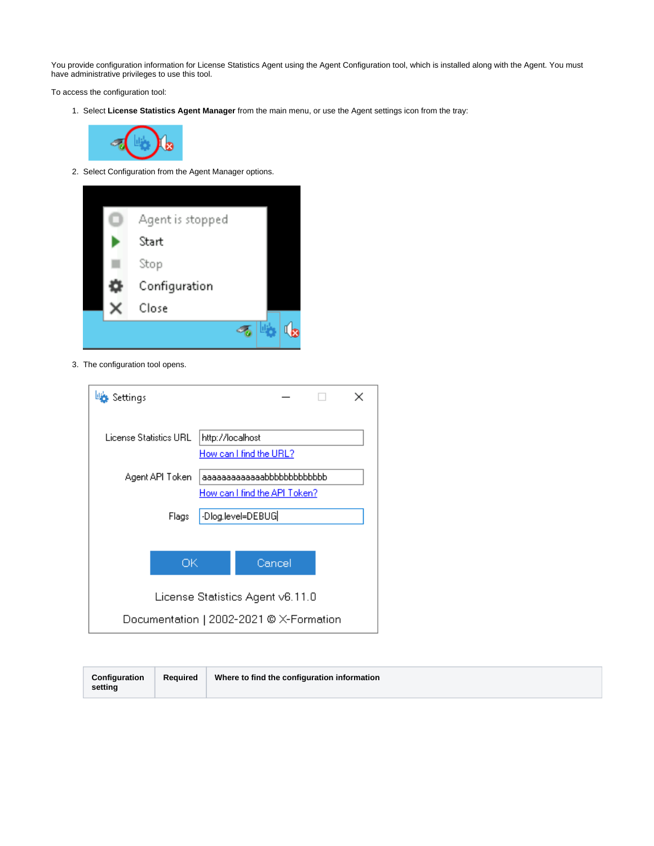You provide configuration information for License Statistics Agent using the Agent Configuration tool, which is installed along with the Agent. You must have administrative privileges to use this tool.

To access the configuration tool:

1. Select **License Statistics Agent Manager** from the main menu, or use the Agent settings icon from the tray:



2. Select Configuration from the Agent Manager options.



3. The configuration tool opens.

| Settings                                |                            |                               |  |  |
|-----------------------------------------|----------------------------|-------------------------------|--|--|
| License Statistics URL.                 | http://localhost           | How can I find the URL?       |  |  |
| Agent API Token                         | aaaaaaaaaaaaabbbbbbbbbbbbb |                               |  |  |
|                                         |                            | How can I find the API Token? |  |  |
| Flags                                   | -Dlog.level=DEBUG          |                               |  |  |
|                                         |                            |                               |  |  |
| ОK                                      |                            | Cancel                        |  |  |
| License Statistics Agent v6.11.0        |                            |                               |  |  |
| Documentation   2002-2021 © X-Formation |                            |                               |  |  |

| Where to find the configuration information<br>Reauired<br>Configuration<br>setting |
|-------------------------------------------------------------------------------------|
|-------------------------------------------------------------------------------------|